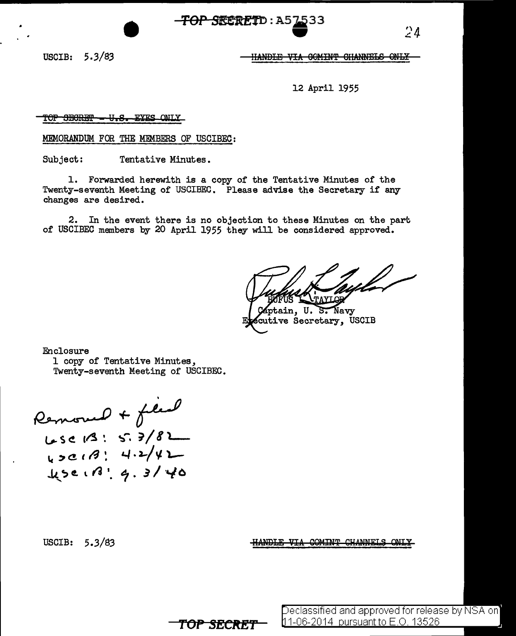**TOP SRERETD: A57533** 

USCIB: 5.3/83

HANDIE VIA GOMINT GHANNELS ONLY

 $24$ 

12 April 1955

TOP SECRET - U.S. EYES ONLY

MEMORANDUM FOR THE MEMBERS OF USCIBEC:

Subject: Tentative Minutes.

1. Forwarded herewith is a copy of the Tentative Minutes of the Twenty-seventh Meeting of USCIBEC. Please advise the Secretary if any changes are desired.

 $2.$ In the event there is no objection to these Minutes on the part of USCIBEC members by 20 April 1955 they will be considered approved.

TOP SECRET

II v

ptain, U. ेड. Navv xutive Secretary, USCIB

Enclosure 1 copy of Tentative Minutes, Twenty-seventh Meeting of USCIBEC.

Removed + filed  $Lsc(3:5.7/8)$  $1.5e$   $13!$   $9.3140$ 

USCIB: 5.3/83

HANDLE VIA COMINT CHANNELS **ONT V** 

Declassified and approved for release by NSA on]

11-06-2014 pursuant to E.O. 13526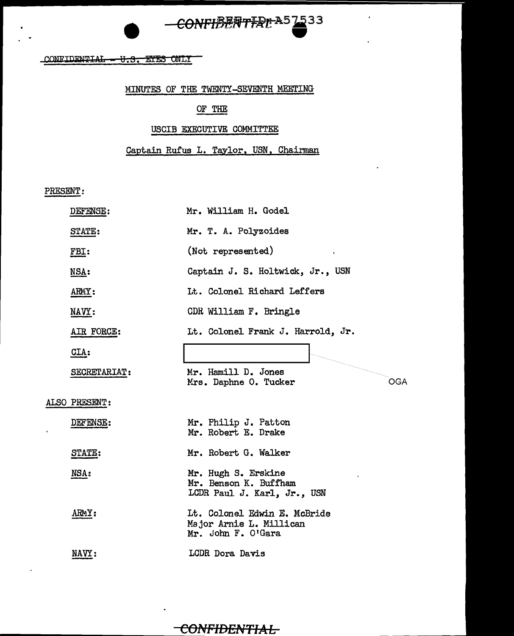# CONFIBENTIAL A57533

### CONFIDENTIAL - U.S. EYES ONLY

### MINUTES OF THE TWENTY-SEVENTH MEETING

### OF THE

### USCIB EXECUTIVE COMMITTEE

Captain Rufus L. Taylor, USN, Chairman

PRESENT:

| DEFENSE:             | Mr. William H. Godel                                                          |
|----------------------|-------------------------------------------------------------------------------|
| STATE:               | Mr. T. A. Polyzoides                                                          |
| FBI:                 | (Not represented)<br>$\mathbf{r}$                                             |
| MSA:                 | Captain J. S. Holtwick, Jr., USN                                              |
| ARMY:                | Lt. Colonel Richard Leffers                                                   |
| NAVY:                | CDR William F. Bringle                                                        |
| AIR FORCE:           | Lt. Colonel Frank J. Harrold, Jr.                                             |
| $CLA$ :              |                                                                               |
| SECRETARIAT:         | Mr. Hamill D. Jones<br>Mrs. Daphne O. Tucker<br><b>OGA</b>                    |
| <b>ALSO PRESENT:</b> |                                                                               |
| DEFENSE:             | Mr. Philip J. Patton<br>Mr. Robert E. Drake                                   |
| STATE:               | Mr. Robert G. Walker                                                          |
| NSA:                 | Mr. Hugh S. Erskine<br>Mr. Benson K. Buffham<br>LCDR Paul J. Karl, Jr., USN   |
| ARMY:                | Lt. Colonel Edwin E. McBride<br>Major Arnie L. Millican<br>Mr. John F. O'Gara |
| NAVY:                | LCDR Dora Davis                                                               |

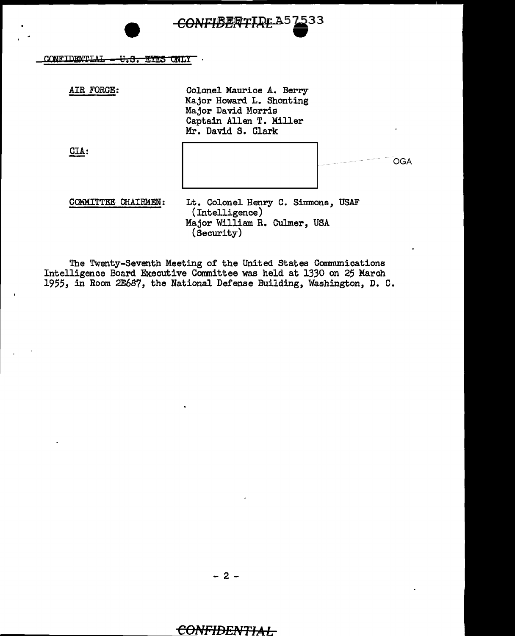## ONFIBENTIRE A57533

#### CONFIDENTIAL - U.S. EYES ONLY  $\bar{\phantom{a}}$

| AIR FORCE:               | Colonel Maurice A. Berry<br>Major Howard L. Shonting<br>Major David Morris<br>Captain Allen T. Miller<br>Mr. David S. Clark |     |
|--------------------------|-----------------------------------------------------------------------------------------------------------------------------|-----|
| <b>CIA:</b>              |                                                                                                                             | OGA |
| <b>MMITTEE CHAIRMEN:</b> | Lt. Colonel Henry C. Simmons, USAF<br>(Intelligence)<br>Major William R. Culmer, USA<br>(Security)                          |     |

The Twenty-Seventh Meeting of the United States Communications<br>Intelligence Board Executive Committee was held at 1330 on 25 March<br>1955, in Room 2E687, the National Defense Building, Washington, D. C.

 $-2-$ 

### **IDENTIAL**